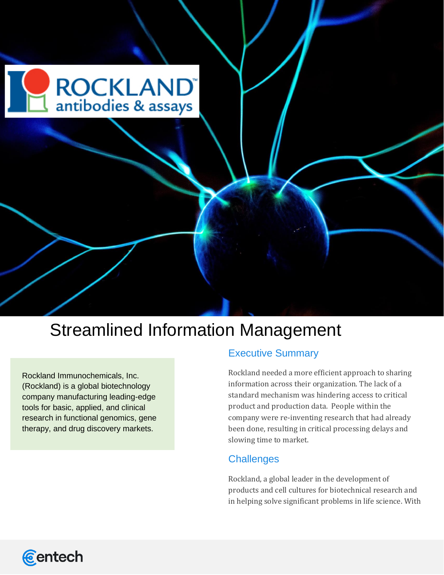

# Streamlined Information Management

Rockland Immunochemicals, Inc. (Rockland) is a global biotechnology company manufacturing leading-edge tools for basic, applied, and clinical research in functional genomics, gene therapy, and drug discovery markets.

## Executive Summary

Rockland needed a more efficient approach to sharing information across their organization. The lack of a standard mechanism was hindering access to critical product and production data. People within the company were re-inventing research that had already been done, resulting in critical processing delays and slowing time to market.

#### **Challenges**

Rockland, a global leader in the development of products and cell cultures for biotechnical research and in helping solve significant problems in life science. With